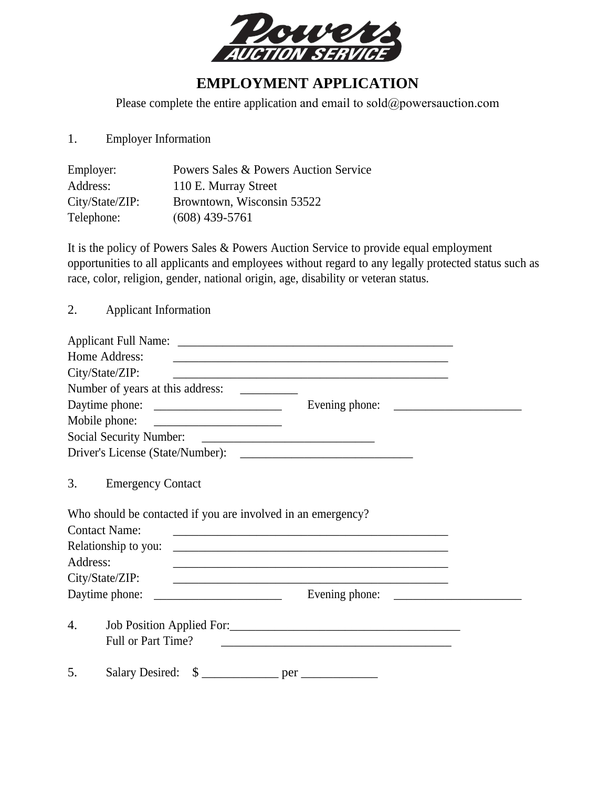

## **EMPLOYMENT APPLICATION**

Please complete the entire application and email to sold@powersauction.com

1. Employer Information

| Employer:       | Powers Sales & Powers Auction Service |
|-----------------|---------------------------------------|
| Address:        | 110 E. Murray Street                  |
| City/State/ZIP: | Browntown, Wisconsin 53522            |
| Telephone:      | $(608)$ 439-5761                      |

It is the policy of Powers Sales & Powers Auction Service to provide equal employment opportunities to all applicants and employees without regard to any legally protected status such as race, color, religion, gender, national origin, age, disability or veteran status.

2. Applicant Information

|          | Home Address:                                                | <u> 1989 - Johann John Stone, markin film yn y brenin y brenin y brenin y brenin y brenin y brenin y brenin y br</u> |  |
|----------|--------------------------------------------------------------|----------------------------------------------------------------------------------------------------------------------|--|
|          | City/State/ZIP:                                              | <u> 1989 - Johann Stoff, amerikansk politiker (d. 1989)</u>                                                          |  |
|          |                                                              |                                                                                                                      |  |
|          |                                                              |                                                                                                                      |  |
|          |                                                              |                                                                                                                      |  |
|          |                                                              |                                                                                                                      |  |
|          |                                                              |                                                                                                                      |  |
| 3.       | <b>Emergency Contact</b>                                     |                                                                                                                      |  |
|          | Who should be contacted if you are involved in an emergency? |                                                                                                                      |  |
|          | <b>Contact Name:</b>                                         |                                                                                                                      |  |
|          | Relationship to you:                                         |                                                                                                                      |  |
| Address: |                                                              |                                                                                                                      |  |
|          | City/State/ZIP:                                              |                                                                                                                      |  |
|          |                                                              |                                                                                                                      |  |
| 4.       |                                                              | Job Position Applied For:                                                                                            |  |
|          | Full or Part Time?                                           | <u> 1989 - Johann Stein, mars an deutscher Stein und der Stein und der Stein und der Stein und der Stein und der</u> |  |
| 5.       | <b>Salary Desired:</b>                                       |                                                                                                                      |  |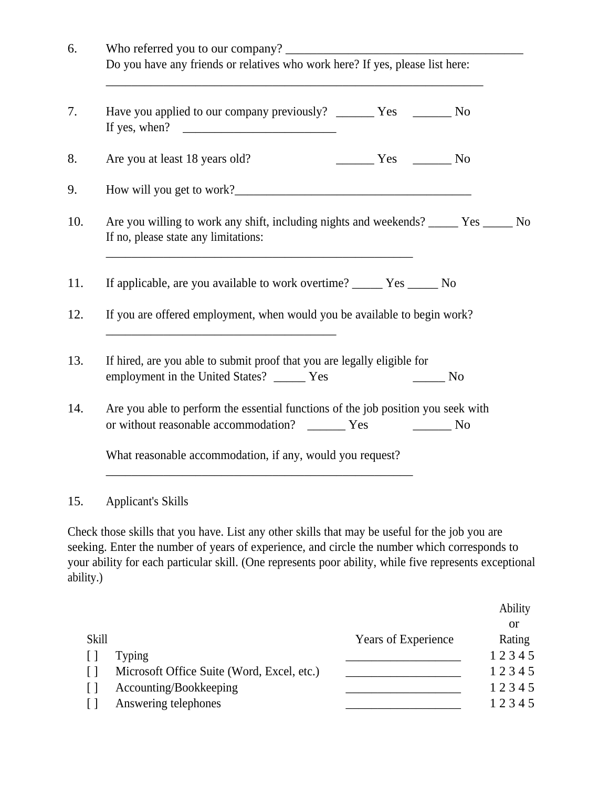| 6.        | Do you have any friends or relatives who work here? If yes, please list here:                                                                                                                                                                                                                                                                                                                                                                                       |  |  |
|-----------|---------------------------------------------------------------------------------------------------------------------------------------------------------------------------------------------------------------------------------------------------------------------------------------------------------------------------------------------------------------------------------------------------------------------------------------------------------------------|--|--|
| 7.        | Have you applied to our company previously? _______ Yes _______ No<br>If yes, when? $\qquad \qquad$                                                                                                                                                                                                                                                                                                                                                                 |  |  |
| 8.        | $\frac{1}{\sqrt{1-\frac{1}{\sqrt{1-\frac{1}{\sqrt{1-\frac{1}{\sqrt{1-\frac{1}{\sqrt{1-\frac{1}{\sqrt{1-\frac{1}{\sqrt{1-\frac{1}{\sqrt{1-\frac{1}{\sqrt{1-\frac{1}{\sqrt{1-\frac{1}{\sqrt{1-\frac{1}{\sqrt{1-\frac{1}{\sqrt{1-\frac{1}{\sqrt{1-\frac{1}{\sqrt{1-\frac{1}{\sqrt{1-\frac{1}{\sqrt{1-\frac{1}{\sqrt{1-\frac{1}{\sqrt{1-\frac{1}{\sqrt{1-\frac{1}{\sqrt{1-\frac{1}{\sqrt{1-\frac{1}{\sqrt{1-\frac{1}{\sqrt{1-\frac{1$<br>Are you at least 18 years old? |  |  |
| 9.        |                                                                                                                                                                                                                                                                                                                                                                                                                                                                     |  |  |
| 10.       | Are you willing to work any shift, including nights and weekends? ______ Yes ______ No<br>If no, please state any limitations:<br><u> 1989 - Johann Stoff, amerikansk politiker (d. 1989)</u>                                                                                                                                                                                                                                                                       |  |  |
| 11.       | If applicable, are you available to work overtime? ________ Yes _______ No                                                                                                                                                                                                                                                                                                                                                                                          |  |  |
| 12.       | If you are offered employment, when would you be available to begin work?                                                                                                                                                                                                                                                                                                                                                                                           |  |  |
| 13.       | If hired, are you able to submit proof that you are legally eligible for<br>employment in the United States? ______ Yes<br><b>Example 2</b> No                                                                                                                                                                                                                                                                                                                      |  |  |
| 14.       | Are you able to perform the essential functions of the job position you seek with<br>or without reasonable accommodation? _______ Yes<br><u>No</u>                                                                                                                                                                                                                                                                                                                  |  |  |
|           | What reasonable accommodation, if any, would you request?                                                                                                                                                                                                                                                                                                                                                                                                           |  |  |
| 15.       | <b>Applicant's Skills</b>                                                                                                                                                                                                                                                                                                                                                                                                                                           |  |  |
| ability.) | Check those skills that you have. List any other skills that may be useful for the job you are<br>seeking. Enter the number of years of experience, and circle the number which corresponds to<br>your ability for each particular skill. (One represents poor ability, while five represents exceptional                                                                                                                                                           |  |  |

|              |                                            |                     | Ability |
|--------------|--------------------------------------------|---------------------|---------|
|              |                                            |                     | or      |
| <b>Skill</b> |                                            | Years of Experience | Rating  |
|              | <b>Typing</b>                              |                     | 12345   |
|              | Microsoft Office Suite (Word, Excel, etc.) |                     | 12345   |
|              | Accounting/Bookkeeping                     |                     | 12345   |
|              | Answering telephones                       |                     | 12345   |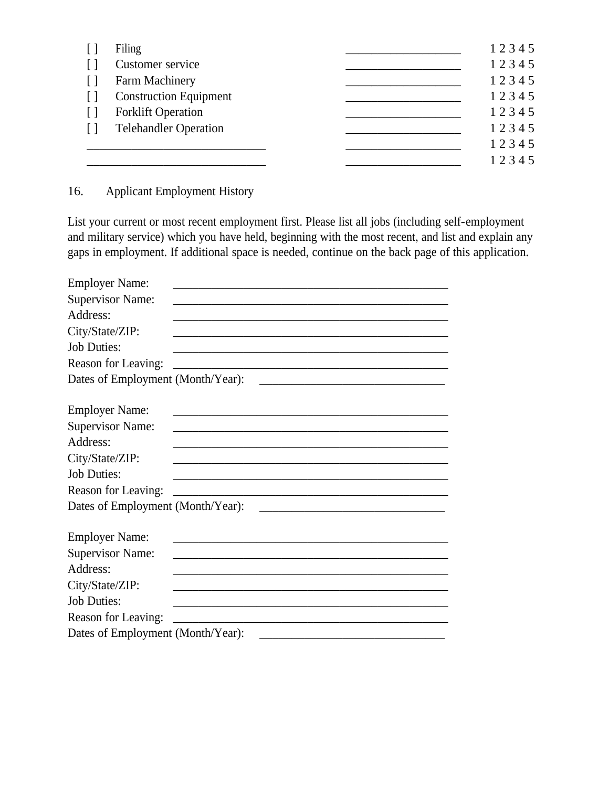| Filing                        | 12345 |
|-------------------------------|-------|
| Customer service              | 12345 |
| Farm Machinery                | 12345 |
| <b>Construction Equipment</b> | 12345 |
| <b>Forklift Operation</b>     | 12345 |
| <b>Telehandler Operation</b>  | 12345 |
|                               | 12345 |
|                               | 12345 |

16. Applicant Employment History

List your current or most recent employment first. Please list all jobs (including self-employment and military service) which you have held, beginning with the most recent, and list and explain any gaps in employment. If additional space is needed, continue on the back page of this application.

| <b>Employer Name:</b>                                                                                                                      |
|--------------------------------------------------------------------------------------------------------------------------------------------|
| <b>Supervisor Name:</b>                                                                                                                    |
| Address:                                                                                                                                   |
| City/State/ZIP:                                                                                                                            |
| <b>Job Duties:</b><br><u> 1980 - Johann John Stone, markin fan it ferstjer fan it ferstjer fan it ferstjer fan it ferstjer fan it fers</u> |
| Reason for Leaving:                                                                                                                        |
| Dates of Employment (Month/Year):                                                                                                          |
|                                                                                                                                            |
| <b>Employer Name:</b>                                                                                                                      |
| <b>Supervisor Name:</b>                                                                                                                    |
| Address:                                                                                                                                   |
| City/State/ZIP:                                                                                                                            |
| <b>Job Duties:</b>                                                                                                                         |
| Reason for Leaving:<br><u> 1980 - Jan James, Amerikaansk politiker (* 1905)</u>                                                            |
| Dates of Employment (Month/Year):                                                                                                          |
|                                                                                                                                            |
| <b>Employer Name:</b><br><u> 1989 - Johann John Stone, mars et al. (1989)</u>                                                              |
| <b>Supervisor Name:</b>                                                                                                                    |
| Address:                                                                                                                                   |
| City/State/ZIP:                                                                                                                            |
| <b>Job Duties:</b>                                                                                                                         |
| Reason for Leaving:                                                                                                                        |
| Dates of Employment (Month/Year):                                                                                                          |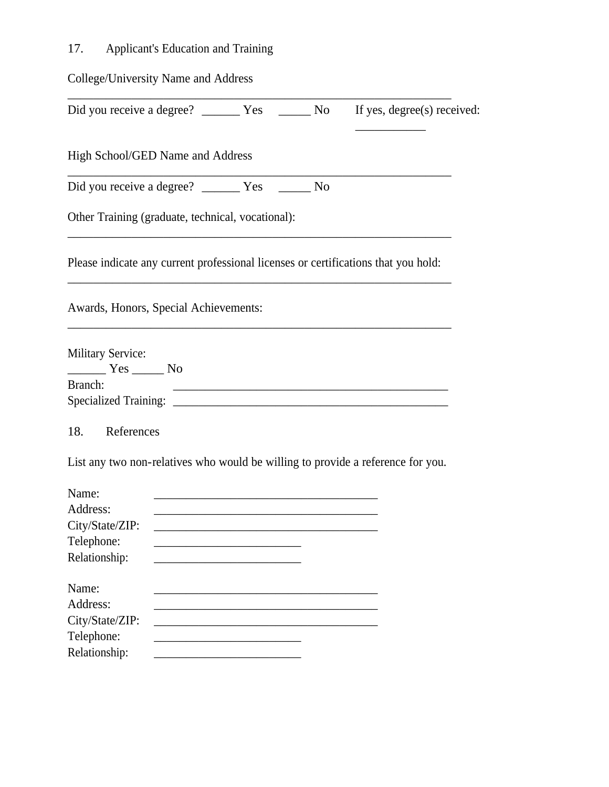## 17. Applicant's Education and Training

| College/University Name and Address                                                                                         |  |                                                                                    |
|-----------------------------------------------------------------------------------------------------------------------------|--|------------------------------------------------------------------------------------|
|                                                                                                                             |  | If yes, degree(s) received:                                                        |
| High School/GED Name and Address                                                                                            |  |                                                                                    |
|                                                                                                                             |  |                                                                                    |
| Other Training (graduate, technical, vocational):                                                                           |  |                                                                                    |
|                                                                                                                             |  | Please indicate any current professional licenses or certifications that you hold: |
| Awards, Honors, Special Achievements:                                                                                       |  |                                                                                    |
| <b>Military Service:</b><br>$\frac{1}{\sqrt{1-\frac{1}{2}}}\text{Yes } \frac{1}{\sqrt{1-\frac{1}{2}}}\text{No }$<br>Branch: |  | <u> 2002 - Johann John Stein, Amerikaansk politiker (d. 2002)</u>                  |
| 18. References                                                                                                              |  |                                                                                    |
|                                                                                                                             |  | List any two non-relatives who would be willing to provide a reference for you.    |
| Name:<br>Address:<br>City/State/ZIP:<br>Telephone:<br>Relationship:                                                         |  |                                                                                    |
| Name:<br>Address:<br>City/State/ZIP:<br>Telephone:<br>Relationship:                                                         |  |                                                                                    |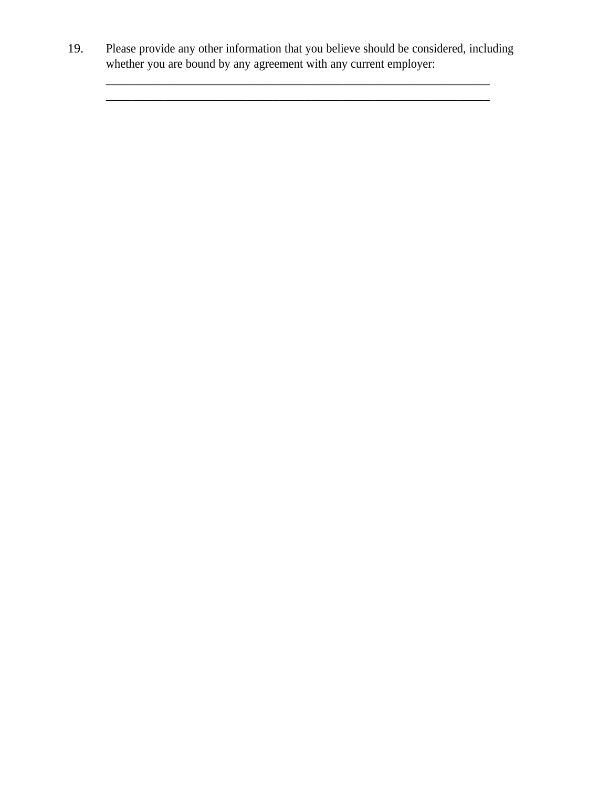19. Please provide any other information that you believe should be considered, including whether you are bound by any agreement with any current employer:

\_\_\_\_\_\_\_\_\_\_\_\_\_\_\_\_\_\_\_\_\_\_\_\_\_\_\_\_\_\_\_\_\_\_\_\_\_\_\_\_\_\_\_\_\_\_\_\_\_\_\_\_\_\_\_\_\_\_\_\_

\_\_\_\_\_\_\_\_\_\_\_\_\_\_\_\_\_\_\_\_\_\_\_\_\_\_\_\_\_\_\_\_\_\_\_\_\_\_\_\_\_\_\_\_\_\_\_\_\_\_\_\_\_\_\_\_\_\_\_\_